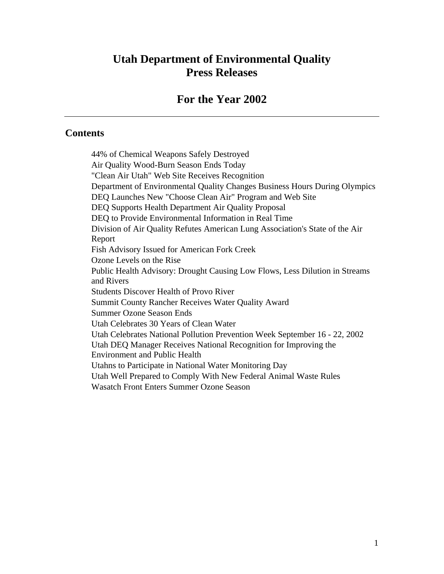# **Utah Department of Environmental Quality Press Releases**

# **For the Year 2002**

#### **Contents**

44% of Chemical Weapons Safely Destroyed Air Quality Wood-Burn Season Ends Today "Clean Air Utah" Web Site Receives Recognition Department of Environmental Quality Changes Business Hours During Olympics DEQ Launches New "Choose Clean Air" Program and Web Site DEQ Supports Health Department Air Quality Proposal DEQ to Provide Environmental Information in Real Time Division of Air Quality Refutes American Lung Association's State of the Air Report Fish Advisory Issued for American Fork Creek Ozone Levels on the Rise Public Health Advisory: Drought Causing Low Flows, Less Dilution in Streams and Rivers Students Discover Health of Provo River Summit County Rancher Receives Water Quality Award Summer Ozone Season Ends Utah Celebrates 30 Years of Clean Water Utah Celebrates National Pollution Prevention Week September 16 - 22, 2002 Utah DEQ Manager Receives National Recognition for Improving the Environment and Public Health Utahns to Participate in National Water Monitoring Day Utah Well Prepared to Comply With New Federal Animal Waste Rules Wasatch Front Enters Summer Ozone Season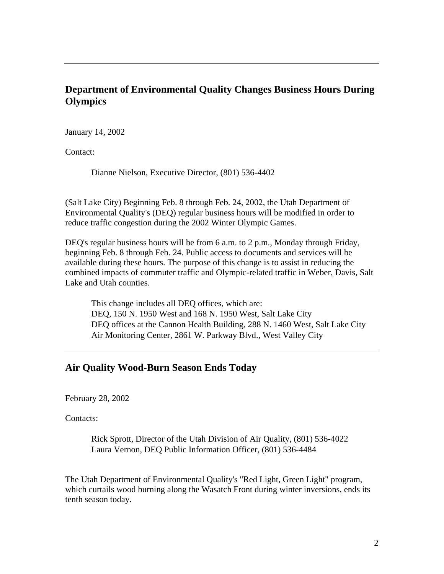# **Department of Environmental Quality Changes Business Hours During Olympics**

January 14, 2002

Contact:

Dianne Nielson, Executive Director, (801) 536-4402

(Salt Lake City) Beginning Feb. 8 through Feb. 24, 2002, the Utah Department of Environmental Quality's (DEQ) regular business hours will be modified in order to reduce traffic congestion during the 2002 Winter Olympic Games.

DEQ's regular business hours will be from 6 a.m. to 2 p.m., Monday through Friday, beginning Feb. 8 through Feb. 24. Public access to documents and services will be available during these hours. The purpose of this change is to assist in reducing the combined impacts of commuter traffic and Olympic-related traffic in Weber, Davis, Salt Lake and Utah counties.

This change includes all DEQ offices, which are: DEQ, 150 N. 1950 West and 168 N. 1950 West, Salt Lake City DEQ offices at the Cannon Health Building, 288 N. 1460 West, Salt Lake City Air Monitoring Center, 2861 W. Parkway Blvd., West Valley City

#### **Air Quality Wood-Burn Season Ends Today**

February 28, 2002

Contacts:

Rick Sprott, Director of the Utah Division of Air Quality, (801) 536-4022 Laura Vernon, DEQ Public Information Officer, (801) 536-4484

The Utah Department of Environmental Quality's "Red Light, Green Light" program, which curtails wood burning along the Wasatch Front during winter inversions, ends its tenth season today.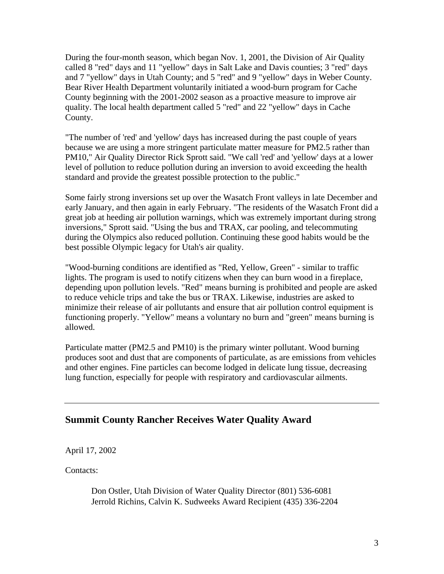During the four-month season, which began Nov. 1, 2001, the Division of Air Quality called 8 "red" days and 11 "yellow" days in Salt Lake and Davis counties; 3 "red" days and 7 "yellow" days in Utah County; and 5 "red" and 9 "yellow" days in Weber County. Bear River Health Department voluntarily initiated a wood-burn program for Cache County beginning with the 2001-2002 season as a proactive measure to improve air quality. The local health department called 5 "red" and 22 "yellow" days in Cache County.

"The number of 'red' and 'yellow' days has increased during the past couple of years because we are using a more stringent particulate matter measure for PM2.5 rather than PM10," Air Quality Director Rick Sprott said. "We call 'red' and 'yellow' days at a lower level of pollution to reduce pollution during an inversion to avoid exceeding the health standard and provide the greatest possible protection to the public."

Some fairly strong inversions set up over the Wasatch Front valleys in late December and early January, and then again in early February. "The residents of the Wasatch Front did a great job at heeding air pollution warnings, which was extremely important during strong inversions," Sprott said. "Using the bus and TRAX, car pooling, and telecommuting during the Olympics also reduced pollution. Continuing these good habits would be the best possible Olympic legacy for Utah's air quality.

"Wood-burning conditions are identified as "Red, Yellow, Green" - similar to traffic lights. The program is used to notify citizens when they can burn wood in a fireplace, depending upon pollution levels. "Red" means burning is prohibited and people are asked to reduce vehicle trips and take the bus or TRAX. Likewise, industries are asked to minimize their release of air pollutants and ensure that air pollution control equipment is functioning properly. "Yellow" means a voluntary no burn and "green" means burning is allowed.

Particulate matter (PM2.5 and PM10) is the primary winter pollutant. Wood burning produces soot and dust that are components of particulate, as are emissions from vehicles and other engines. Fine particles can become lodged in delicate lung tissue, decreasing lung function, especially for people with respiratory and cardiovascular ailments.

## **Summit County Rancher Receives Water Quality Award**

April 17, 2002

Contacts:

Don Ostler, Utah Division of Water Quality Director (801) 536-6081 Jerrold Richins, Calvin K. Sudweeks Award Recipient (435) 336-2204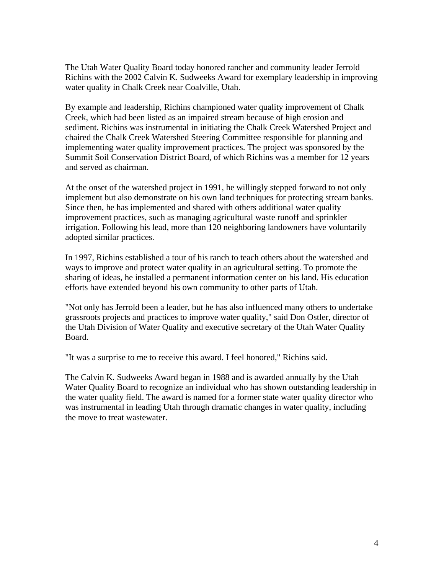The Utah Water Quality Board today honored rancher and community leader Jerrold Richins with the 2002 Calvin K. Sudweeks Award for exemplary leadership in improving water quality in Chalk Creek near Coalville, Utah.

By example and leadership, Richins championed water quality improvement of Chalk Creek, which had been listed as an impaired stream because of high erosion and sediment. Richins was instrumental in initiating the Chalk Creek Watershed Project and chaired the Chalk Creek Watershed Steering Committee responsible for planning and implementing water quality improvement practices. The project was sponsored by the Summit Soil Conservation District Board, of which Richins was a member for 12 years and served as chairman.

At the onset of the watershed project in 1991, he willingly stepped forward to not only implement but also demonstrate on his own land techniques for protecting stream banks. Since then, he has implemented and shared with others additional water quality improvement practices, such as managing agricultural waste runoff and sprinkler irrigation. Following his lead, more than 120 neighboring landowners have voluntarily adopted similar practices.

In 1997, Richins established a tour of his ranch to teach others about the watershed and ways to improve and protect water quality in an agricultural setting. To promote the sharing of ideas, he installed a permanent information center on his land. His education efforts have extended beyond his own community to other parts of Utah.

"Not only has Jerrold been a leader, but he has also influenced many others to undertake grassroots projects and practices to improve water quality," said Don Ostler, director of the Utah Division of Water Quality and executive secretary of the Utah Water Quality Board.

"It was a surprise to me to receive this award. I feel honored," Richins said.

The Calvin K. Sudweeks Award began in 1988 and is awarded annually by the Utah Water Quality Board to recognize an individual who has shown outstanding leadership in the water quality field. The award is named for a former state water quality director who was instrumental in leading Utah through dramatic changes in water quality, including the move to treat wastewater.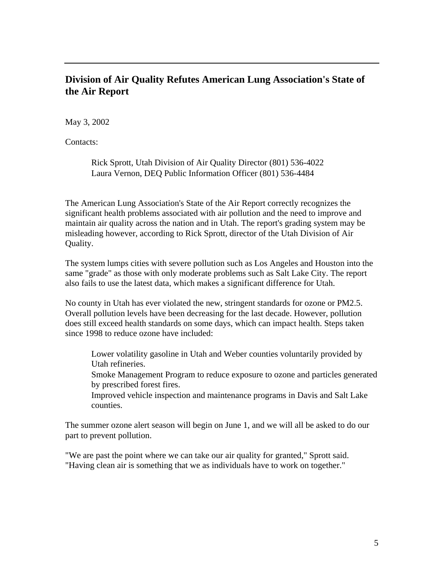## **Division of Air Quality Refutes American Lung Association's State of the Air Report**

May 3, 2002

Contacts:

Rick Sprott, Utah Division of Air Quality Director (801) 536-4022 Laura Vernon, DEQ Public Information Officer (801) 536-4484

The American Lung Association's State of the Air Report correctly recognizes the significant health problems associated with air pollution and the need to improve and maintain air quality across the nation and in Utah. The report's grading system may be misleading however, according to Rick Sprott, director of the Utah Division of Air Quality.

The system lumps cities with severe pollution such as Los Angeles and Houston into the same "grade" as those with only moderate problems such as Salt Lake City. The report also fails to use the latest data, which makes a significant difference for Utah.

No county in Utah has ever violated the new, stringent standards for ozone or PM2.5. Overall pollution levels have been decreasing for the last decade. However, pollution does still exceed health standards on some days, which can impact health. Steps taken since 1998 to reduce ozone have included:

Lower volatility gasoline in Utah and Weber counties voluntarily provided by Utah refineries.

Smoke Management Program to reduce exposure to ozone and particles generated by prescribed forest fires.

Improved vehicle inspection and maintenance programs in Davis and Salt Lake counties.

The summer ozone alert season will begin on June 1, and we will all be asked to do our part to prevent pollution.

"We are past the point where we can take our air quality for granted," Sprott said. "Having clean air is something that we as individuals have to work on together."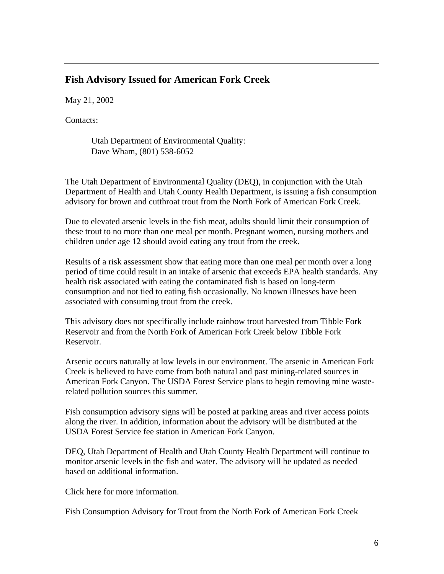#### **Fish Advisory Issued for American Fork Creek**

May 21, 2002

Contacts:

Utah Department of Environmental Quality: Dave Wham, (801) 538-6052

The Utah Department of Environmental Quality (DEQ), in conjunction with the Utah Department of Health and Utah County Health Department, is issuing a fish consumption advisory for brown and cutthroat trout from the North Fork of American Fork Creek.

Due to elevated arsenic levels in the fish meat, adults should limit their consumption of these trout to no more than one meal per month. Pregnant women, nursing mothers and children under age 12 should avoid eating any trout from the creek.

Results of a risk assessment show that eating more than one meal per month over a long period of time could result in an intake of arsenic that exceeds EPA health standards. Any health risk associated with eating the contaminated fish is based on long-term consumption and not tied to eating fish occasionally. No known illnesses have been associated with consuming trout from the creek.

This advisory does not specifically include rainbow trout harvested from Tibble Fork Reservoir and from the North Fork of American Fork Creek below Tibble Fork Reservoir.

Arsenic occurs naturally at low levels in our environment. The arsenic in American Fork Creek is believed to have come from both natural and past mining-related sources in American Fork Canyon. The USDA Forest Service plans to begin removing mine wasterelated pollution sources this summer.

Fish consumption advisory signs will be posted at parking areas and river access points along the river. In addition, information about the advisory will be distributed at the USDA Forest Service fee station in American Fork Canyon.

DEQ, Utah Department of Health and Utah County Health Department will continue to monitor arsenic levels in the fish and water. The advisory will be updated as needed based on additional information.

Click here for more information.

Fish Consumption Advisory for Trout from the North Fork of American Fork Creek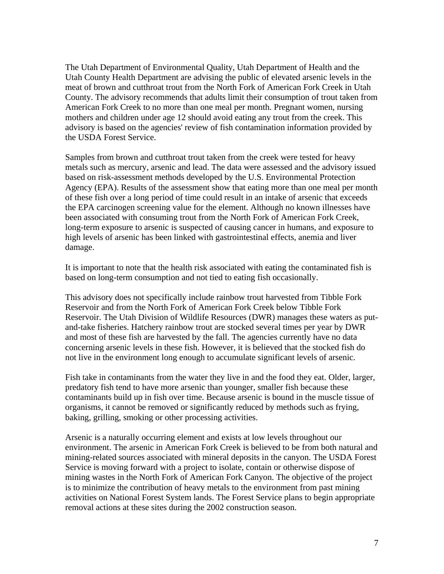The Utah Department of Environmental Quality, Utah Department of Health and the Utah County Health Department are advising the public of elevated arsenic levels in the meat of brown and cutthroat trout from the North Fork of American Fork Creek in Utah County. The advisory recommends that adults limit their consumption of trout taken from American Fork Creek to no more than one meal per month. Pregnant women, nursing mothers and children under age 12 should avoid eating any trout from the creek. This advisory is based on the agencies' review of fish contamination information provided by the USDA Forest Service.

Samples from brown and cutthroat trout taken from the creek were tested for heavy metals such as mercury, arsenic and lead. The data were assessed and the advisory issued based on risk-assessment methods developed by the U.S. Environmental Protection Agency (EPA). Results of the assessment show that eating more than one meal per month of these fish over a long period of time could result in an intake of arsenic that exceeds the EPA carcinogen screening value for the element. Although no known illnesses have been associated with consuming trout from the North Fork of American Fork Creek, long-term exposure to arsenic is suspected of causing cancer in humans, and exposure to high levels of arsenic has been linked with gastrointestinal effects, anemia and liver damage.

It is important to note that the health risk associated with eating the contaminated fish is based on long-term consumption and not tied to eating fish occasionally.

This advisory does not specifically include rainbow trout harvested from Tibble Fork Reservoir and from the North Fork of American Fork Creek below Tibble Fork Reservoir. The Utah Division of Wildlife Resources (DWR) manages these waters as putand-take fisheries. Hatchery rainbow trout are stocked several times per year by DWR and most of these fish are harvested by the fall. The agencies currently have no data concerning arsenic levels in these fish. However, it is believed that the stocked fish do not live in the environment long enough to accumulate significant levels of arsenic.

Fish take in contaminants from the water they live in and the food they eat. Older, larger, predatory fish tend to have more arsenic than younger, smaller fish because these contaminants build up in fish over time. Because arsenic is bound in the muscle tissue of organisms, it cannot be removed or significantly reduced by methods such as frying, baking, grilling, smoking or other processing activities.

Arsenic is a naturally occurring element and exists at low levels throughout our environment. The arsenic in American Fork Creek is believed to be from both natural and mining-related sources associated with mineral deposits in the canyon. The USDA Forest Service is moving forward with a project to isolate, contain or otherwise dispose of mining wastes in the North Fork of American Fork Canyon. The objective of the project is to minimize the contribution of heavy metals to the environment from past mining activities on National Forest System lands. The Forest Service plans to begin appropriate removal actions at these sites during the 2002 construction season.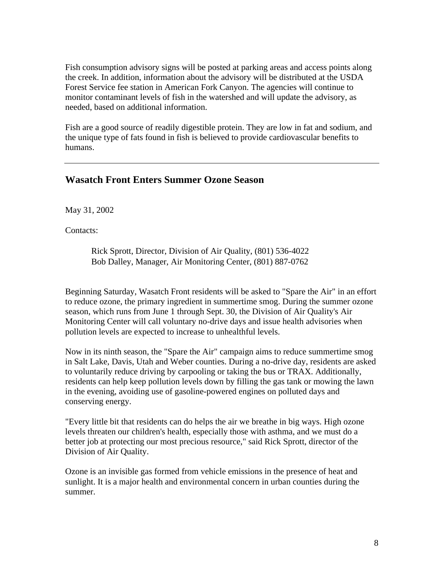Fish consumption advisory signs will be posted at parking areas and access points along the creek. In addition, information about the advisory will be distributed at the USDA Forest Service fee station in American Fork Canyon. The agencies will continue to monitor contaminant levels of fish in the watershed and will update the advisory, as needed, based on additional information.

Fish are a good source of readily digestible protein. They are low in fat and sodium, and the unique type of fats found in fish is believed to provide cardiovascular benefits to humans.

#### **Wasatch Front Enters Summer Ozone Season**

May 31, 2002

Contacts:

Rick Sprott, Director, Division of Air Quality, (801) 536-4022 Bob Dalley, Manager, Air Monitoring Center, (801) 887-0762

Beginning Saturday, Wasatch Front residents will be asked to "Spare the Air" in an effort to reduce ozone, the primary ingredient in summertime smog. During the summer ozone season, which runs from June 1 through Sept. 30, the Division of Air Quality's Air Monitoring Center will call voluntary no-drive days and issue health advisories when pollution levels are expected to increase to unhealthful levels.

Now in its ninth season, the "Spare the Air" campaign aims to reduce summertime smog in Salt Lake, Davis, Utah and Weber counties. During a no-drive day, residents are asked to voluntarily reduce driving by carpooling or taking the bus or TRAX. Additionally, residents can help keep pollution levels down by filling the gas tank or mowing the lawn in the evening, avoiding use of gasoline-powered engines on polluted days and conserving energy.

"Every little bit that residents can do helps the air we breathe in big ways. High ozone levels threaten our children's health, especially those with asthma, and we must do a better job at protecting our most precious resource," said Rick Sprott, director of the Division of Air Quality.

Ozone is an invisible gas formed from vehicle emissions in the presence of heat and sunlight. It is a major health and environmental concern in urban counties during the summer.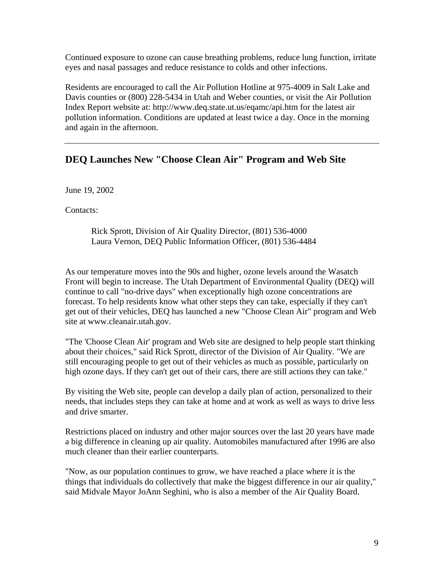Continued exposure to ozone can cause breathing problems, reduce lung function, irritate eyes and nasal passages and reduce resistance to colds and other infections.

Residents are encouraged to call the Air Pollution Hotline at 975-4009 in Salt Lake and Davis counties or (800) 228-5434 in Utah and Weber counties, or visit the Air Pollution Index Report website at: http://www.deq.state.ut.us/eqamc/api.htm for the latest air pollution information. Conditions are updated at least twice a day. Once in the morning and again in the afternoon.

# **DEQ Launches New "Choose Clean Air" Program and Web Site**

June 19, 2002

Contacts:

Rick Sprott, Division of Air Quality Director, (801) 536-4000 Laura Vernon, DEQ Public Information Officer, (801) 536-4484

As our temperature moves into the 90s and higher, ozone levels around the Wasatch Front will begin to increase. The Utah Department of Environmental Quality (DEQ) will continue to call "no-drive days" when exceptionally high ozone concentrations are forecast. To help residents know what other steps they can take, especially if they can't get out of their vehicles, DEQ has launched a new "Choose Clean Air" program and Web site at www.cleanair.utah.gov.

"The 'Choose Clean Air' program and Web site are designed to help people start thinking about their choices," said Rick Sprott, director of the Division of Air Quality. "We are still encouraging people to get out of their vehicles as much as possible, particularly on high ozone days. If they can't get out of their cars, there are still actions they can take."

By visiting the Web site, people can develop a daily plan of action, personalized to their needs, that includes steps they can take at home and at work as well as ways to drive less and drive smarter.

Restrictions placed on industry and other major sources over the last 20 years have made a big difference in cleaning up air quality. Automobiles manufactured after 1996 are also much cleaner than their earlier counterparts.

"Now, as our population continues to grow, we have reached a place where it is the things that individuals do collectively that make the biggest difference in our air quality," said Midvale Mayor JoAnn Seghini, who is also a member of the Air Quality Board.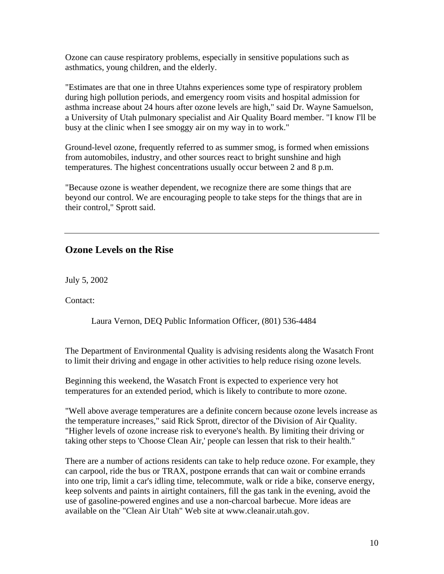Ozone can cause respiratory problems, especially in sensitive populations such as asthmatics, young children, and the elderly.

"Estimates are that one in three Utahns experiences some type of respiratory problem during high pollution periods, and emergency room visits and hospital admission for asthma increase about 24 hours after ozone levels are high," said Dr. Wayne Samuelson, a University of Utah pulmonary specialist and Air Quality Board member. "I know I'll be busy at the clinic when I see smoggy air on my way in to work."

Ground-level ozone, frequently referred to as summer smog, is formed when emissions from automobiles, industry, and other sources react to bright sunshine and high temperatures. The highest concentrations usually occur between 2 and 8 p.m.

"Because ozone is weather dependent, we recognize there are some things that are beyond our control. We are encouraging people to take steps for the things that are in their control," Sprott said.

## **Ozone Levels on the Rise**

July 5, 2002

Contact:

Laura Vernon, DEQ Public Information Officer, (801) 536-4484

The Department of Environmental Quality is advising residents along the Wasatch Front to limit their driving and engage in other activities to help reduce rising ozone levels.

Beginning this weekend, the Wasatch Front is expected to experience very hot temperatures for an extended period, which is likely to contribute to more ozone.

"Well above average temperatures are a definite concern because ozone levels increase as the temperature increases," said Rick Sprott, director of the Division of Air Quality. "Higher levels of ozone increase risk to everyone's health. By limiting their driving or taking other steps to 'Choose Clean Air,' people can lessen that risk to their health."

There are a number of actions residents can take to help reduce ozone. For example, they can carpool, ride the bus or TRAX, postpone errands that can wait or combine errands into one trip, limit a car's idling time, telecommute, walk or ride a bike, conserve energy, keep solvents and paints in airtight containers, fill the gas tank in the evening, avoid the use of gasoline-powered engines and use a non-charcoal barbecue. More ideas are available on the "Clean Air Utah" Web site at www.cleanair.utah.gov.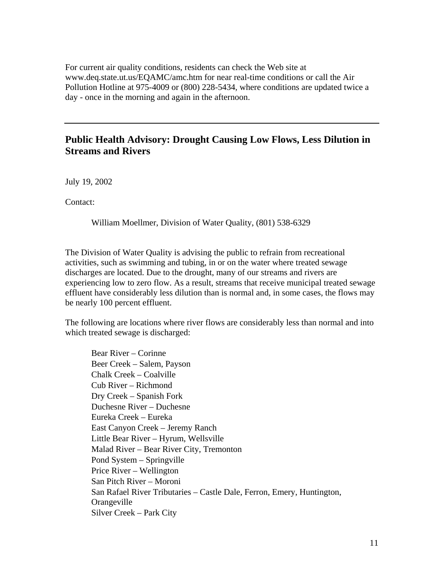For current air quality conditions, residents can check the Web site at www.deq.state.ut.us/EQAMC/amc.htm for near real-time conditions or call the Air Pollution Hotline at 975-4009 or (800) 228-5434, where conditions are updated twice a day - once in the morning and again in the afternoon.

#### **Public Health Advisory: Drought Causing Low Flows, Less Dilution in Streams and Rivers**

July 19, 2002

Contact:

William Moellmer, Division of Water Quality, (801) 538-6329

The Division of Water Quality is advising the public to refrain from recreational activities, such as swimming and tubing, in or on the water where treated sewage discharges are located. Due to the drought, many of our streams and rivers are experiencing low to zero flow. As a result, streams that receive municipal treated sewage effluent have considerably less dilution than is normal and, in some cases, the flows may be nearly 100 percent effluent.

The following are locations where river flows are considerably less than normal and into which treated sewage is discharged:

Bear River – Corinne Beer Creek – Salem, Payson Chalk Creek – Coalville Cub River – Richmond Dry Creek – Spanish Fork Duchesne River – Duchesne Eureka Creek – Eureka East Canyon Creek – Jeremy Ranch Little Bear River – Hyrum, Wellsville Malad River – Bear River City, Tremonton Pond System – Springville Price River – Wellington San Pitch River – Moroni San Rafael River Tributaries – Castle Dale, Ferron, Emery, Huntington, **Orangeville** Silver Creek – Park City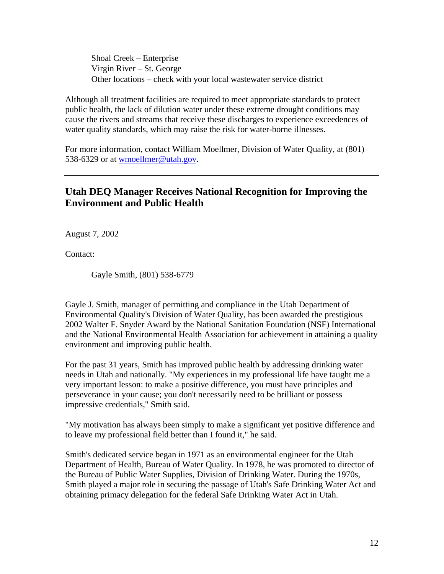Shoal Creek – Enterprise Virgin River – St. George Other locations – check with your local wastewater service district

Although all treatment facilities are required to meet appropriate standards to protect public health, the lack of dilution water under these extreme drought conditions may cause the rivers and streams that receive these discharges to experience exceedences of water quality standards, which may raise the risk for water-borne illnesses.

For more information, contact William Moellmer, Division of Water Quality, at (801) 538-6329 or at wmoellmer@utah.gov.

# **Utah DEQ Manager Receives National Recognition for Improving the Environment and Public Health**

August 7, 2002

Contact:

Gayle Smith, (801) 538-6779

Gayle J. Smith, manager of permitting and compliance in the Utah Department of Environmental Quality's Division of Water Quality, has been awarded the prestigious 2002 Walter F. Snyder Award by the National Sanitation Foundation (NSF) International and the National Environmental Health Association for achievement in attaining a quality environment and improving public health.

For the past 31 years, Smith has improved public health by addressing drinking water needs in Utah and nationally. "My experiences in my professional life have taught me a very important lesson: to make a positive difference, you must have principles and perseverance in your cause; you don't necessarily need to be brilliant or possess impressive credentials," Smith said.

"My motivation has always been simply to make a significant yet positive difference and to leave my professional field better than I found it," he said.

Smith's dedicated service began in 1971 as an environmental engineer for the Utah Department of Health, Bureau of Water Quality. In 1978, he was promoted to director of the Bureau of Public Water Supplies, Division of Drinking Water. During the 1970s, Smith played a major role in securing the passage of Utah's Safe Drinking Water Act and obtaining primacy delegation for the federal Safe Drinking Water Act in Utah.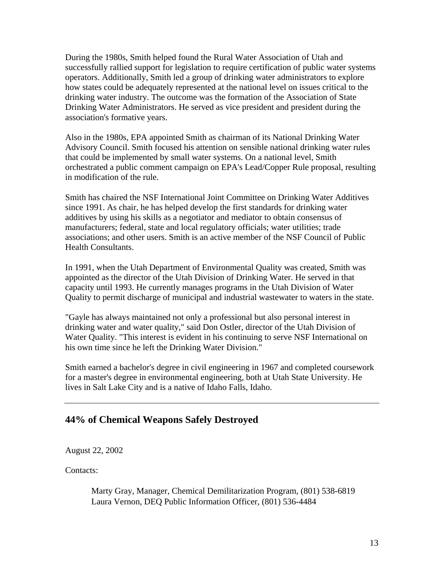During the 1980s, Smith helped found the Rural Water Association of Utah and successfully rallied support for legislation to require certification of public water systems operators. Additionally, Smith led a group of drinking water administrators to explore how states could be adequately represented at the national level on issues critical to the drinking water industry. The outcome was the formation of the Association of State Drinking Water Administrators. He served as vice president and president during the association's formative years.

Also in the 1980s, EPA appointed Smith as chairman of its National Drinking Water Advisory Council. Smith focused his attention on sensible national drinking water rules that could be implemented by small water systems. On a national level, Smith orchestrated a public comment campaign on EPA's Lead/Copper Rule proposal, resulting in modification of the rule.

Smith has chaired the NSF International Joint Committee on Drinking Water Additives since 1991. As chair, he has helped develop the first standards for drinking water additives by using his skills as a negotiator and mediator to obtain consensus of manufacturers; federal, state and local regulatory officials; water utilities; trade associations; and other users. Smith is an active member of the NSF Council of Public Health Consultants.

In 1991, when the Utah Department of Environmental Quality was created, Smith was appointed as the director of the Utah Division of Drinking Water. He served in that capacity until 1993. He currently manages programs in the Utah Division of Water Quality to permit discharge of municipal and industrial wastewater to waters in the state.

"Gayle has always maintained not only a professional but also personal interest in drinking water and water quality," said Don Ostler, director of the Utah Division of Water Quality. "This interest is evident in his continuing to serve NSF International on his own time since he left the Drinking Water Division."

Smith earned a bachelor's degree in civil engineering in 1967 and completed coursework for a master's degree in environmental engineering, both at Utah State University. He lives in Salt Lake City and is a native of Idaho Falls, Idaho.

#### **44% of Chemical Weapons Safely Destroyed**

August 22, 2002

Contacts:

Marty Gray, Manager, Chemical Demilitarization Program, (801) 538-6819 Laura Vernon, DEQ Public Information Officer, (801) 536-4484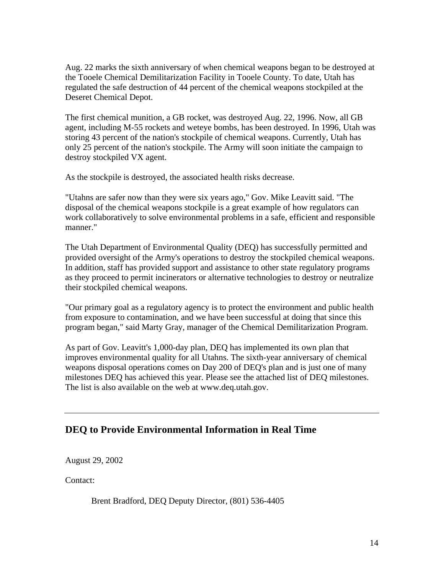Aug. 22 marks the sixth anniversary of when chemical weapons began to be destroyed at the Tooele Chemical Demilitarization Facility in Tooele County. To date, Utah has regulated the safe destruction of 44 percent of the chemical weapons stockpiled at the Deseret Chemical Depot.

The first chemical munition, a GB rocket, was destroyed Aug. 22, 1996. Now, all GB agent, including M-55 rockets and weteye bombs, has been destroyed. In 1996, Utah was storing 43 percent of the nation's stockpile of chemical weapons. Currently, Utah has only 25 percent of the nation's stockpile. The Army will soon initiate the campaign to destroy stockpiled VX agent.

As the stockpile is destroyed, the associated health risks decrease.

"Utahns are safer now than they were six years ago," Gov. Mike Leavitt said. "The disposal of the chemical weapons stockpile is a great example of how regulators can work collaboratively to solve environmental problems in a safe, efficient and responsible manner."

The Utah Department of Environmental Quality (DEQ) has successfully permitted and provided oversight of the Army's operations to destroy the stockpiled chemical weapons. In addition, staff has provided support and assistance to other state regulatory programs as they proceed to permit incinerators or alternative technologies to destroy or neutralize their stockpiled chemical weapons.

"Our primary goal as a regulatory agency is to protect the environment and public health from exposure to contamination, and we have been successful at doing that since this program began," said Marty Gray, manager of the Chemical Demilitarization Program.

As part of Gov. Leavitt's 1,000-day plan, DEQ has implemented its own plan that improves environmental quality for all Utahns. The sixth-year anniversary of chemical weapons disposal operations comes on Day 200 of DEQ's plan and is just one of many milestones DEQ has achieved this year. Please see the attached list of DEQ milestones. The list is also available on the web at www.deq.utah.gov.

## **DEQ to Provide Environmental Information in Real Time**

August 29, 2002

Contact:

Brent Bradford, DEQ Deputy Director, (801) 536-4405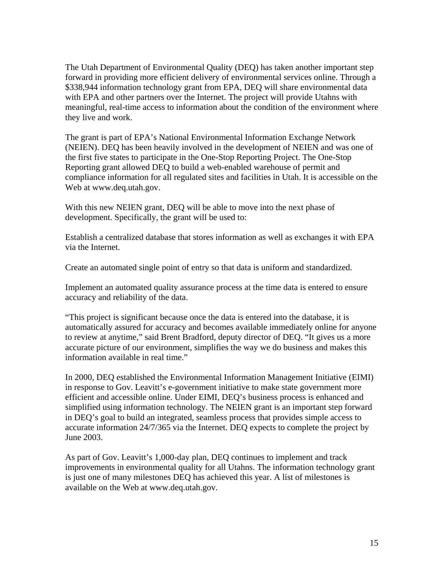The Utah Department of Environmental Quality (DEQ) has taken another important step forward in providing more efficient delivery of environmental services online. Through a \$338,944 information technology grant from EPA, DEQ will share environmental data with EPA and other partners over the Internet. The project will provide Utahns with meaningful, real-time access to information about the condition of the environment where they live and work.

The grant is part of EPA's National Environmental Information Exchange Network (NEIEN). DEQ has been heavily involved in the development of NEIEN and was one of the first five states to participate in the One-Stop Reporting Project. The One-Stop Reporting grant allowed DEQ to build a web-enabled warehouse of permit and compliance information for all regulated sites and facilities in Utah. It is accessible on the Web at www.deq.utah.gov.

With this new NEIEN grant, DEQ will be able to move into the next phase of development. Specifically, the grant will be used to:

Establish a centralized database that stores information as well as exchanges it with EPA via the Internet.

Create an automated single point of entry so that data is uniform and standardized.

Implement an automated quality assurance process at the time data is entered to ensure accuracy and reliability of the data.

"This project is significant because once the data is entered into the database, it is automatically assured for accuracy and becomes available immediately online for anyone to review at anytime," said Brent Bradford, deputy director of DEQ. "It gives us a more accurate picture of our environment, simplifies the way we do business and makes this information available in real time."

In 2000, DEQ established the Environmental Information Management Initiative (EIMI) in response to Gov. Leavitt's e-government initiative to make state government more efficient and accessible online. Under EIMI, DEQ's business process is enhanced and simplified using information technology. The NEIEN grant is an important step forward in DEQ's goal to build an integrated, seamless process that provides simple access to accurate information 24/7/365 via the Internet. DEQ expects to complete the project by June 2003.

As part of Gov. Leavitt's 1,000-day plan, DEQ continues to implement and track improvements in environmental quality for all Utahns. The information technology grant is just one of many milestones DEQ has achieved this year. A list of milestones is available on the Web at www.deq.utah.gov.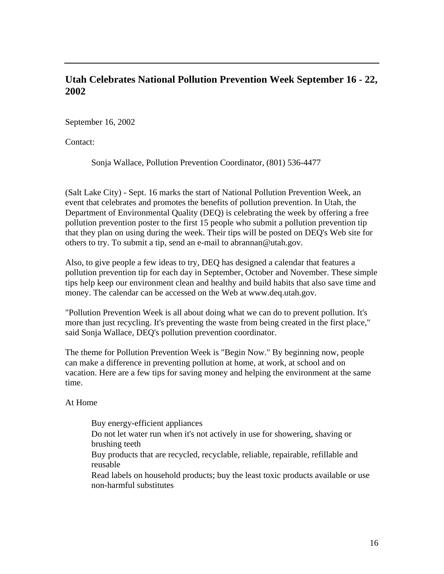# **Utah Celebrates National Pollution Prevention Week September 16 - 22, 2002**

September 16, 2002

Contact:

Sonja Wallace, Pollution Prevention Coordinator, (801) 536-4477

(Salt Lake City) - Sept. 16 marks the start of National Pollution Prevention Week, an event that celebrates and promotes the benefits of pollution prevention. In Utah, the Department of Environmental Quality (DEQ) is celebrating the week by offering a free pollution prevention poster to the first 15 people who submit a pollution prevention tip that they plan on using during the week. Their tips will be posted on DEQ's Web site for others to try. To submit a tip, send an e-mail to abrannan@utah.gov.

Also, to give people a few ideas to try, DEQ has designed a calendar that features a pollution prevention tip for each day in September, October and November. These simple tips help keep our environment clean and healthy and build habits that also save time and money. The calendar can be accessed on the Web at www.deq.utah.gov.

"Pollution Prevention Week is all about doing what we can do to prevent pollution. It's more than just recycling. It's preventing the waste from being created in the first place," said Sonja Wallace, DEQ's pollution prevention coordinator.

The theme for Pollution Prevention Week is "Begin Now." By beginning now, people can make a difference in preventing pollution at home, at work, at school and on vacation. Here are a few tips for saving money and helping the environment at the same time.

At Home

Buy energy-efficient appliances Do not let water run when it's not actively in use for showering, shaving or brushing teeth Buy products that are recycled, recyclable, reliable, repairable, refillable and reusable Read labels on household products; buy the least toxic products available or use non-harmful substitutes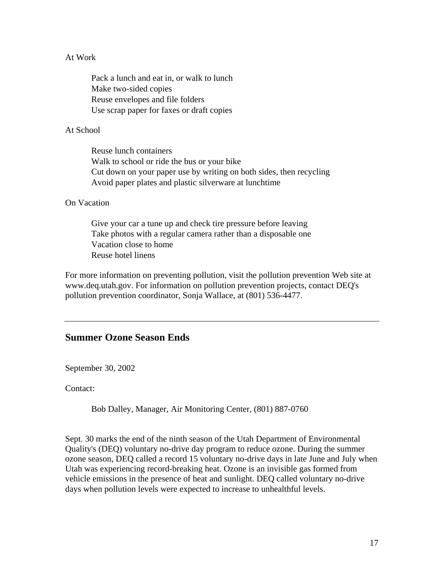#### At Work

Pack a lunch and eat in, or walk to lunch Make two-sided copies Reuse envelopes and file folders Use scrap paper for faxes or draft copies

#### At School

Reuse lunch containers Walk to school or ride the bus or your bike Cut down on your paper use by writing on both sides, then recycling Avoid paper plates and plastic silverware at lunchtime

#### On Vacation

Give your car a tune up and check tire pressure before leaving Take photos with a regular camera rather than a disposable one Vacation close to home Reuse hotel linens

For more information on preventing pollution, visit the pollution prevention Web site at www.deq.utah.gov. For information on pollution prevention projects, contact DEQ's pollution prevention coordinator, Sonja Wallace, at (801) 536-4477.

#### **Summer Ozone Season Ends**

September 30, 2002

Contact:

Bob Dalley, Manager, Air Monitoring Center, (801) 887-0760

Sept. 30 marks the end of the ninth season of the Utah Department of Environmental Quality's (DEQ) voluntary no-drive day program to reduce ozone. During the summer ozone season, DEQ called a record 15 voluntary no-drive days in late June and July when Utah was experiencing record-breaking heat. Ozone is an invisible gas formed from vehicle emissions in the presence of heat and sunlight. DEQ called voluntary no-drive days when pollution levels were expected to increase to unhealthful levels.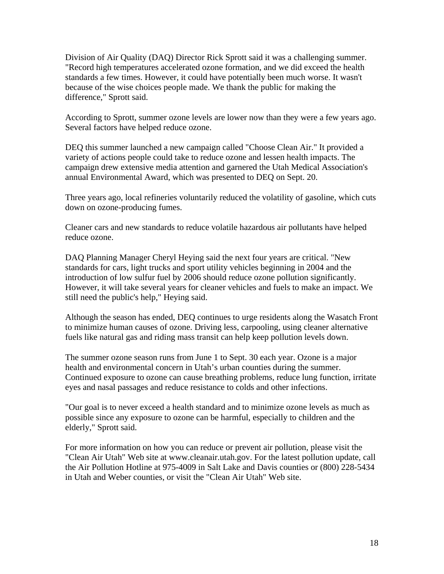Division of Air Quality (DAQ) Director Rick Sprott said it was a challenging summer. "Record high temperatures accelerated ozone formation, and we did exceed the health standards a few times. However, it could have potentially been much worse. It wasn't because of the wise choices people made. We thank the public for making the difference," Sprott said.

According to Sprott, summer ozone levels are lower now than they were a few years ago. Several factors have helped reduce ozone.

DEQ this summer launched a new campaign called "Choose Clean Air." It provided a variety of actions people could take to reduce ozone and lessen health impacts. The campaign drew extensive media attention and garnered the Utah Medical Association's annual Environmental Award, which was presented to DEQ on Sept. 20.

Three years ago, local refineries voluntarily reduced the volatility of gasoline, which cuts down on ozone-producing fumes.

Cleaner cars and new standards to reduce volatile hazardous air pollutants have helped reduce ozone.

DAQ Planning Manager Cheryl Heying said the next four years are critical. "New standards for cars, light trucks and sport utility vehicles beginning in 2004 and the introduction of low sulfur fuel by 2006 should reduce ozone pollution significantly. However, it will take several years for cleaner vehicles and fuels to make an impact. We still need the public's help," Heying said.

Although the season has ended, DEQ continues to urge residents along the Wasatch Front to minimize human causes of ozone. Driving less, carpooling, using cleaner alternative fuels like natural gas and riding mass transit can help keep pollution levels down.

The summer ozone season runs from June 1 to Sept. 30 each year. Ozone is a major health and environmental concern in Utah's urban counties during the summer. Continued exposure to ozone can cause breathing problems, reduce lung function, irritate eyes and nasal passages and reduce resistance to colds and other infections.

"Our goal is to never exceed a health standard and to minimize ozone levels as much as possible since any exposure to ozone can be harmful, especially to children and the elderly," Sprott said.

For more information on how you can reduce or prevent air pollution, please visit the "Clean Air Utah" Web site at www.cleanair.utah.gov. For the latest pollution update, call the Air Pollution Hotline at 975-4009 in Salt Lake and Davis counties or (800) 228-5434 in Utah and Weber counties, or visit the "Clean Air Utah" Web site.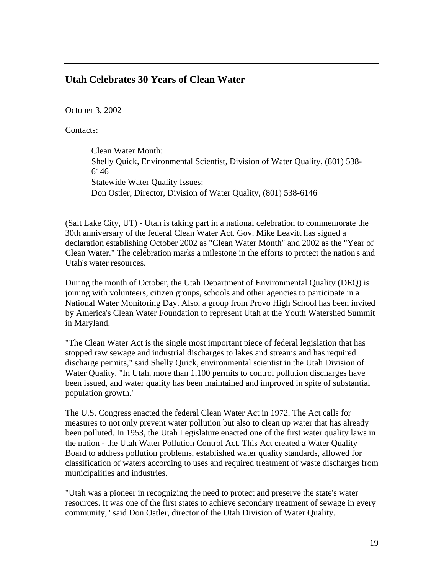#### **Utah Celebrates 30 Years of Clean Water**

October 3, 2002

Contacts:

Clean Water Month: Shelly Quick, Environmental Scientist, Division of Water Quality, (801) 538- 6146 Statewide Water Quality Issues: Don Ostler, Director, Division of Water Quality, (801) 538-6146

(Salt Lake City, UT) - Utah is taking part in a national celebration to commemorate the 30th anniversary of the federal Clean Water Act. Gov. Mike Leavitt has signed a declaration establishing October 2002 as "Clean Water Month" and 2002 as the "Year of Clean Water." The celebration marks a milestone in the efforts to protect the nation's and Utah's water resources.

During the month of October, the Utah Department of Environmental Quality (DEQ) is joining with volunteers, citizen groups, schools and other agencies to participate in a National Water Monitoring Day. Also, a group from Provo High School has been invited by America's Clean Water Foundation to represent Utah at the Youth Watershed Summit in Maryland.

"The Clean Water Act is the single most important piece of federal legislation that has stopped raw sewage and industrial discharges to lakes and streams and has required discharge permits," said Shelly Quick, environmental scientist in the Utah Division of Water Quality. "In Utah, more than 1,100 permits to control pollution discharges have been issued, and water quality has been maintained and improved in spite of substantial population growth."

The U.S. Congress enacted the federal Clean Water Act in 1972. The Act calls for measures to not only prevent water pollution but also to clean up water that has already been polluted. In 1953, the Utah Legislature enacted one of the first water quality laws in the nation - the Utah Water Pollution Control Act. This Act created a Water Quality Board to address pollution problems, established water quality standards, allowed for classification of waters according to uses and required treatment of waste discharges from municipalities and industries.

"Utah was a pioneer in recognizing the need to protect and preserve the state's water resources. It was one of the first states to achieve secondary treatment of sewage in every community," said Don Ostler, director of the Utah Division of Water Quality.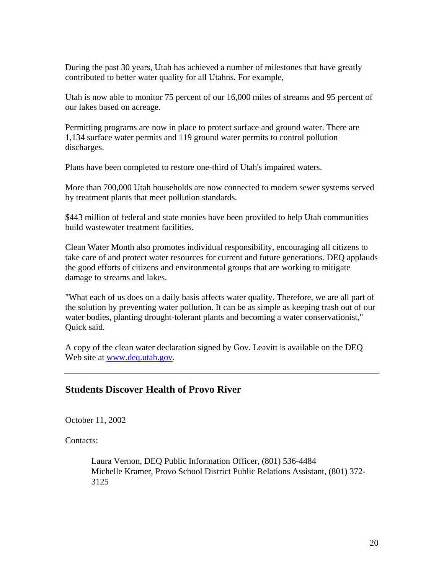During the past 30 years, Utah has achieved a number of milestones that have greatly contributed to better water quality for all Utahns. For example,

Utah is now able to monitor 75 percent of our 16,000 miles of streams and 95 percent of our lakes based on acreage.

Permitting programs are now in place to protect surface and ground water. There are 1,134 surface water permits and 119 ground water permits to control pollution discharges.

Plans have been completed to restore one-third of Utah's impaired waters.

More than 700,000 Utah households are now connected to modern sewer systems served by treatment plants that meet pollution standards.

\$443 million of federal and state monies have been provided to help Utah communities build wastewater treatment facilities.

Clean Water Month also promotes individual responsibility, encouraging all citizens to take care of and protect water resources for current and future generations. DEQ applauds the good efforts of citizens and environmental groups that are working to mitigate damage to streams and lakes.

"What each of us does on a daily basis affects water quality. Therefore, we are all part of the solution by preventing water pollution. It can be as simple as keeping trash out of our water bodies, planting drought-tolerant plants and becoming a water conservationist," Quick said.

A copy of the clean water declaration signed by Gov. Leavitt is available on the DEQ Web site at www.deq.utah.gov.

## **Students Discover Health of Provo River**

October 11, 2002

Contacts:

Laura Vernon, DEQ Public Information Officer, (801) 536-4484 Michelle Kramer, Provo School District Public Relations Assistant, (801) 372- 3125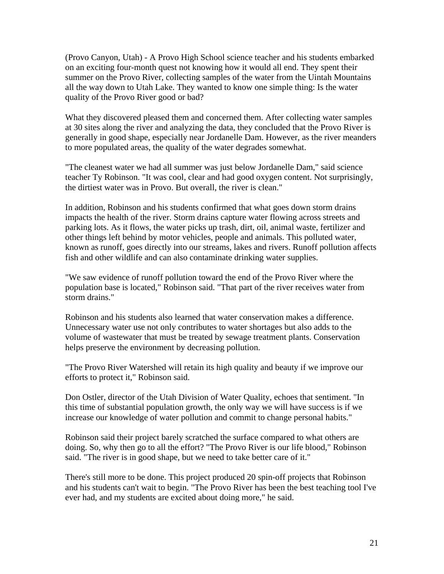(Provo Canyon, Utah) - A Provo High School science teacher and his students embarked on an exciting four-month quest not knowing how it would all end. They spent their summer on the Provo River, collecting samples of the water from the Uintah Mountains all the way down to Utah Lake. They wanted to know one simple thing: Is the water quality of the Provo River good or bad?

What they discovered pleased them and concerned them. After collecting water samples at 30 sites along the river and analyzing the data, they concluded that the Provo River is generally in good shape, especially near Jordanelle Dam. However, as the river meanders to more populated areas, the quality of the water degrades somewhat.

"The cleanest water we had all summer was just below Jordanelle Dam," said science teacher Ty Robinson. "It was cool, clear and had good oxygen content. Not surprisingly, the dirtiest water was in Provo. But overall, the river is clean."

In addition, Robinson and his students confirmed that what goes down storm drains impacts the health of the river. Storm drains capture water flowing across streets and parking lots. As it flows, the water picks up trash, dirt, oil, animal waste, fertilizer and other things left behind by motor vehicles, people and animals. This polluted water, known as runoff, goes directly into our streams, lakes and rivers. Runoff pollution affects fish and other wildlife and can also contaminate drinking water supplies.

"We saw evidence of runoff pollution toward the end of the Provo River where the population base is located," Robinson said. "That part of the river receives water from storm drains."

Robinson and his students also learned that water conservation makes a difference. Unnecessary water use not only contributes to water shortages but also adds to the volume of wastewater that must be treated by sewage treatment plants. Conservation helps preserve the environment by decreasing pollution.

"The Provo River Watershed will retain its high quality and beauty if we improve our efforts to protect it," Robinson said.

Don Ostler, director of the Utah Division of Water Quality, echoes that sentiment. "In this time of substantial population growth, the only way we will have success is if we increase our knowledge of water pollution and commit to change personal habits."

Robinson said their project barely scratched the surface compared to what others are doing. So, why then go to all the effort? "The Provo River is our life blood," Robinson said. "The river is in good shape, but we need to take better care of it."

There's still more to be done. This project produced 20 spin-off projects that Robinson and his students can't wait to begin. "The Provo River has been the best teaching tool I've ever had, and my students are excited about doing more," he said.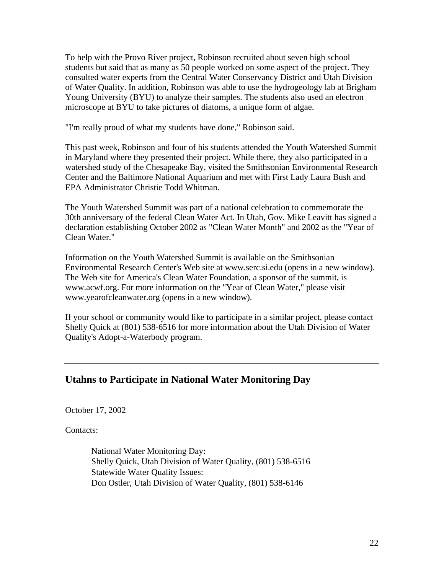To help with the Provo River project, Robinson recruited about seven high school students but said that as many as 50 people worked on some aspect of the project. They consulted water experts from the Central Water Conservancy District and Utah Division of Water Quality. In addition, Robinson was able to use the hydrogeology lab at Brigham Young University (BYU) to analyze their samples. The students also used an electron microscope at BYU to take pictures of diatoms, a unique form of algae.

"I'm really proud of what my students have done," Robinson said.

This past week, Robinson and four of his students attended the Youth Watershed Summit in Maryland where they presented their project. While there, they also participated in a watershed study of the Chesapeake Bay, visited the Smithsonian Environmental Research Center and the Baltimore National Aquarium and met with First Lady Laura Bush and EPA Administrator Christie Todd Whitman.

The Youth Watershed Summit was part of a national celebration to commemorate the 30th anniversary of the federal Clean Water Act. In Utah, Gov. Mike Leavitt has signed a declaration establishing October 2002 as "Clean Water Month" and 2002 as the "Year of Clean Water."

Information on the Youth Watershed Summit is available on the Smithsonian Environmental Research Center's Web site at www.serc.si.edu (opens in a new window). The Web site for America's Clean Water Foundation, a sponsor of the summit, is www.acwf.org. For more information on the "Year of Clean Water," please visit www.yearofcleanwater.org (opens in a new window).

If your school or community would like to participate in a similar project, please contact Shelly Quick at (801) 538-6516 for more information about the Utah Division of Water Quality's Adopt-a-Waterbody program.

## **Utahns to Participate in National Water Monitoring Day**

October 17, 2002

Contacts:

National Water Monitoring Day: Shelly Quick, Utah Division of Water Quality, (801) 538-6516 Statewide Water Quality Issues: Don Ostler, Utah Division of Water Quality, (801) 538-6146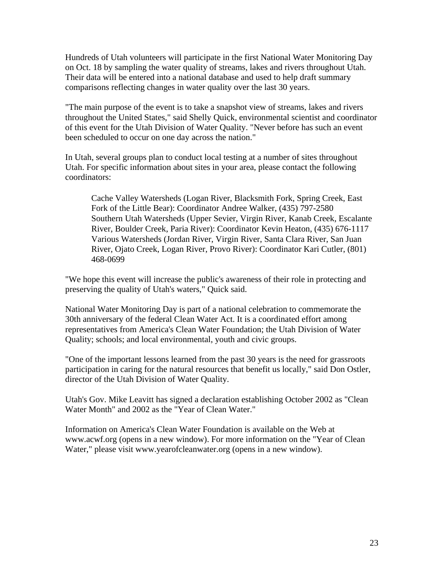Hundreds of Utah volunteers will participate in the first National Water Monitoring Day on Oct. 18 by sampling the water quality of streams, lakes and rivers throughout Utah. Their data will be entered into a national database and used to help draft summary comparisons reflecting changes in water quality over the last 30 years.

"The main purpose of the event is to take a snapshot view of streams, lakes and rivers throughout the United States," said Shelly Quick, environmental scientist and coordinator of this event for the Utah Division of Water Quality. "Never before has such an event been scheduled to occur on one day across the nation."

In Utah, several groups plan to conduct local testing at a number of sites throughout Utah. For specific information about sites in your area, please contact the following coordinators:

Cache Valley Watersheds (Logan River, Blacksmith Fork, Spring Creek, East Fork of the Little Bear): Coordinator Andree Walker, (435) 797-2580 Southern Utah Watersheds (Upper Sevier, Virgin River, Kanab Creek, Escalante River, Boulder Creek, Paria River): Coordinator Kevin Heaton, (435) 676-1117 Various Watersheds (Jordan River, Virgin River, Santa Clara River, San Juan River, Ojato Creek, Logan River, Provo River): Coordinator Kari Cutler, (801) 468-0699

"We hope this event will increase the public's awareness of their role in protecting and preserving the quality of Utah's waters," Quick said.

National Water Monitoring Day is part of a national celebration to commemorate the 30th anniversary of the federal Clean Water Act. It is a coordinated effort among representatives from America's Clean Water Foundation; the Utah Division of Water Quality; schools; and local environmental, youth and civic groups.

"One of the important lessons learned from the past 30 years is the need for grassroots participation in caring for the natural resources that benefit us locally," said Don Ostler, director of the Utah Division of Water Quality.

Utah's Gov. Mike Leavitt has signed a declaration establishing October 2002 as "Clean Water Month" and 2002 as the "Year of Clean Water."

Information on America's Clean Water Foundation is available on the Web at www.acwf.org (opens in a new window). For more information on the "Year of Clean Water," please visit www.yearofcleanwater.org (opens in a new window).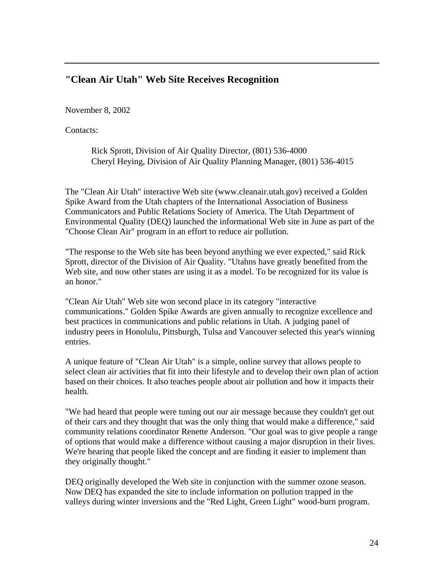# **"Clean Air Utah" Web Site Receives Recognition**

November 8, 2002

Contacts:

Rick Sprott, Division of Air Quality Director, (801) 536-4000 Cheryl Heying, Division of Air Quality Planning Manager, (801) 536-4015

The "Clean Air Utah" interactive Web site (www.cleanair.utah.gov) received a Golden Spike Award from the Utah chapters of the International Association of Business Communicators and Public Relations Society of America. The Utah Department of Environmental Quality (DEQ) launched the informational Web site in June as part of the "Choose Clean Air" program in an effort to reduce air pollution.

"The response to the Web site has been beyond anything we ever expected," said Rick Sprott, director of the Division of Air Quality. "Utahns have greatly benefited from the Web site, and now other states are using it as a model. To be recognized for its value is an honor."

"Clean Air Utah" Web site won second place in its category "interactive communications." Golden Spike Awards are given annually to recognize excellence and best practices in communications and public relations in Utah. A judging panel of industry peers in Honolulu, Pittsburgh, Tulsa and Vancouver selected this year's winning entries.

A unique feature of "Clean Air Utah" is a simple, online survey that allows people to select clean air activities that fit into their lifestyle and to develop their own plan of action based on their choices. It also teaches people about air pollution and how it impacts their health.

"We had heard that people were tuning out our air message because they couldn't get out of their cars and they thought that was the only thing that would make a difference," said community relations coordinator Renette Anderson. "Our goal was to give people a range of options that would make a difference without causing a major disruption in their lives. We're hearing that people liked the concept and are finding it easier to implement than they originally thought."

DEQ originally developed the Web site in conjunction with the summer ozone season. Now DEQ has expanded the site to include information on pollution trapped in the valleys during winter inversions and the "Red Light, Green Light" wood-burn program.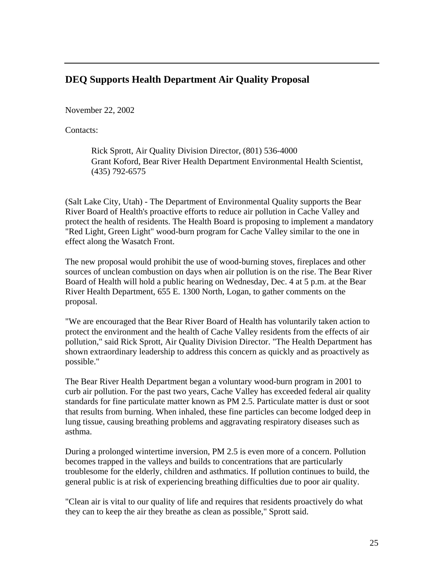## **DEQ Supports Health Department Air Quality Proposal**

November 22, 2002

Contacts:

Rick Sprott, Air Quality Division Director, (801) 536-4000 Grant Koford, Bear River Health Department Environmental Health Scientist, (435) 792-6575

(Salt Lake City, Utah) - The Department of Environmental Quality supports the Bear River Board of Health's proactive efforts to reduce air pollution in Cache Valley and protect the health of residents. The Health Board is proposing to implement a mandatory "Red Light, Green Light" wood-burn program for Cache Valley similar to the one in effect along the Wasatch Front.

The new proposal would prohibit the use of wood-burning stoves, fireplaces and other sources of unclean combustion on days when air pollution is on the rise. The Bear River Board of Health will hold a public hearing on Wednesday, Dec. 4 at 5 p.m. at the Bear River Health Department, 655 E. 1300 North, Logan, to gather comments on the proposal.

"We are encouraged that the Bear River Board of Health has voluntarily taken action to protect the environment and the health of Cache Valley residents from the effects of air pollution," said Rick Sprott, Air Quality Division Director. "The Health Department has shown extraordinary leadership to address this concern as quickly and as proactively as possible."

The Bear River Health Department began a voluntary wood-burn program in 2001 to curb air pollution. For the past two years, Cache Valley has exceeded federal air quality standards for fine particulate matter known as PM 2.5. Particulate matter is dust or soot that results from burning. When inhaled, these fine particles can become lodged deep in lung tissue, causing breathing problems and aggravating respiratory diseases such as asthma.

During a prolonged wintertime inversion, PM 2.5 is even more of a concern. Pollution becomes trapped in the valleys and builds to concentrations that are particularly troublesome for the elderly, children and asthmatics. If pollution continues to build, the general public is at risk of experiencing breathing difficulties due to poor air quality.

"Clean air is vital to our quality of life and requires that residents proactively do what they can to keep the air they breathe as clean as possible," Sprott said.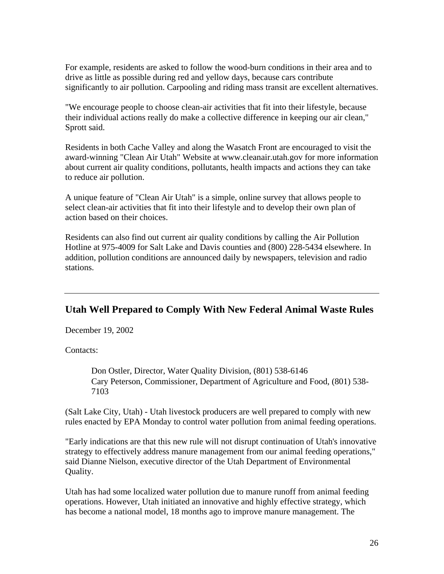For example, residents are asked to follow the wood-burn conditions in their area and to drive as little as possible during red and yellow days, because cars contribute significantly to air pollution. Carpooling and riding mass transit are excellent alternatives.

"We encourage people to choose clean-air activities that fit into their lifestyle, because their individual actions really do make a collective difference in keeping our air clean," Sprott said.

Residents in both Cache Valley and along the Wasatch Front are encouraged to visit the award-winning "Clean Air Utah" Website at www.cleanair.utah.gov for more information about current air quality conditions, pollutants, health impacts and actions they can take to reduce air pollution.

A unique feature of "Clean Air Utah" is a simple, online survey that allows people to select clean-air activities that fit into their lifestyle and to develop their own plan of action based on their choices.

Residents can also find out current air quality conditions by calling the Air Pollution Hotline at 975-4009 for Salt Lake and Davis counties and (800) 228-5434 elsewhere. In addition, pollution conditions are announced daily by newspapers, television and radio stations.

## **Utah Well Prepared to Comply With New Federal Animal Waste Rules**

December 19, 2002

Contacts:

Don Ostler, Director, Water Quality Division, (801) 538-6146 Cary Peterson, Commissioner, Department of Agriculture and Food, (801) 538- 7103

(Salt Lake City, Utah) - Utah livestock producers are well prepared to comply with new rules enacted by EPA Monday to control water pollution from animal feeding operations.

"Early indications are that this new rule will not disrupt continuation of Utah's innovative strategy to effectively address manure management from our animal feeding operations," said Dianne Nielson, executive director of the Utah Department of Environmental Quality.

Utah has had some localized water pollution due to manure runoff from animal feeding operations. However, Utah initiated an innovative and highly effective strategy, which has become a national model, 18 months ago to improve manure management. The